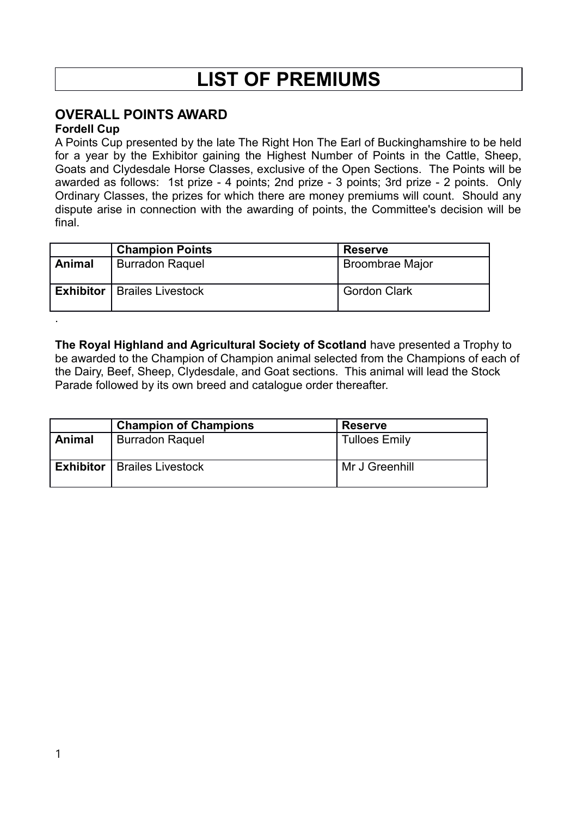# **LIST OF PREMIUMS**

### **OVERALL POINTS AWARD**

#### **Fordell Cup**

.

A Points Cup presented by the late The Right Hon The Earl of Buckinghamshire to be held for a year by the Exhibitor gaining the Highest Number of Points in the Cattle, Sheep, Goats and Clydesdale Horse Classes, exclusive of the Open Sections. The Points will be awarded as follows: 1st prize - 4 points; 2nd prize - 3 points; 3rd prize - 2 points. Only Ordinary Classes, the prizes for which there are money premiums will count. Should any dispute arise in connection with the awarding of points, the Committee's decision will be final.

|        | <b>Champion Points</b>               | <b>Reserve</b>         |
|--------|--------------------------------------|------------------------|
| Animal | <b>Burradon Raquel</b>               | <b>Broombrae Major</b> |
|        | <b>Exhibitor</b>   Brailes Livestock | <b>Gordon Clark</b>    |

**The Royal Highland and Agricultural Society of Scotland** have presented a Trophy to be awarded to the Champion of Champion animal selected from the Champions of each of the Dairy, Beef, Sheep, Clydesdale, and Goat sections. This animal will lead the Stock Parade followed by its own breed and catalogue order thereafter.

|        | <b>Champion of Champions</b>         | <b>Reserve</b>       |
|--------|--------------------------------------|----------------------|
| Animal | <b>Burradon Raquel</b>               | <b>Tulloes Emily</b> |
|        | <b>Exhibitor</b>   Brailes Livestock | Mr J Greenhill       |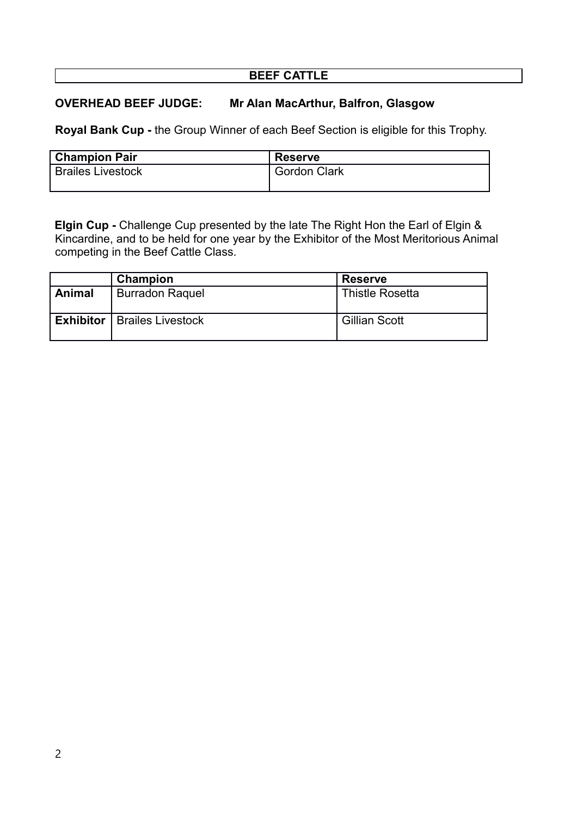#### **BEEF CATTLE**

#### **OVERHEAD BEEF JUDGE: Mr Alan MacArthur, Balfron, Glasgow**

**Royal Bank Cup -** the Group Winner of each Beef Section is eligible for this Trophy.

| <b>Champion Pair</b>     | <b>Reserve</b>      |
|--------------------------|---------------------|
| <b>Brailes Livestock</b> | <b>Gordon Clark</b> |
|                          |                     |

**Elgin Cup -** Challenge Cup presented by the late The Right Hon the Earl of Elgin & Kincardine, and to be held for one year by the Exhibitor of the Most Meritorious Animal competing in the Beef Cattle Class.

|        | Champion                             | Reserve                |
|--------|--------------------------------------|------------------------|
| Animal | <b>Burradon Raquel</b>               | <b>Thistle Rosetta</b> |
|        | <b>Exhibitor</b>   Brailes Livestock | <b>Gillian Scott</b>   |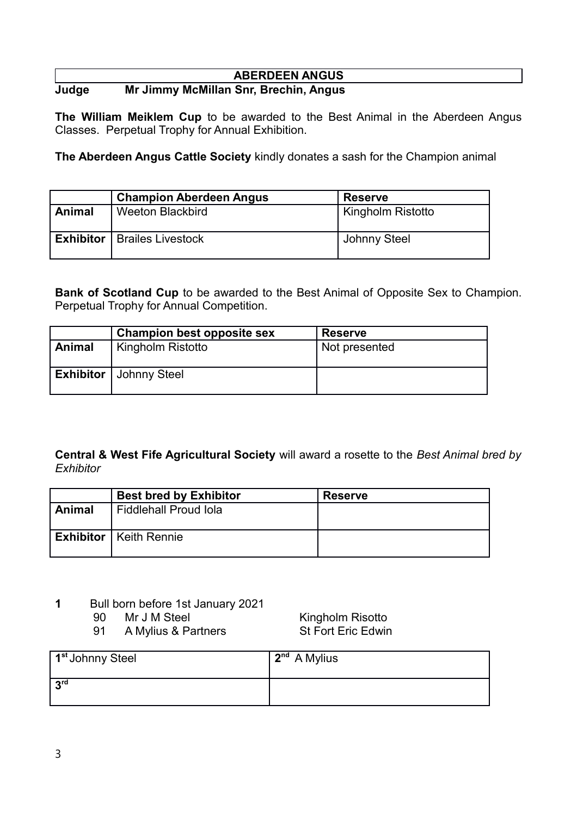#### **ABERDEEN ANGUS**

#### **Judge Mr Jimmy McMillan Snr, Brechin, Angus**

**The William Meiklem Cup** to be awarded to the Best Animal in the Aberdeen Angus Classes. Perpetual Trophy for Annual Exhibition.

**The Aberdeen Angus Cattle Society** kindly donates a sash for the Champion animal

|        | <b>Champion Aberdeen Angus</b>       | <b>Reserve</b>    |
|--------|--------------------------------------|-------------------|
| Animal | <b>Weeton Blackbird</b>              | Kingholm Ristotto |
|        | <b>Exhibitor</b>   Brailes Livestock | Johnny Steel      |

**Bank of Scotland Cup** to be awarded to the Best Animal of Opposite Sex to Champion. Perpetual Trophy for Annual Competition.

|        | Champion best opposite sex      | <b>Reserve</b> |
|--------|---------------------------------|----------------|
| Animal | Kingholm Ristotto               | Not presented  |
|        | <b>Exhibitor</b>   Johnny Steel |                |

**Central & West Fife Agricultural Society** will award a rosette to the *Best Animal bred by Exhibitor*

|        | <b>Best bred by Exhibitor</b>   | <b>Reserve</b> |
|--------|---------------------------------|----------------|
| Animal | <b>Fiddlehall Proud Iola</b>    |                |
|        | <b>Exhibitor</b>   Keith Rennie |                |

- **1** Bull born before 1st January 2021
	-

90 Mr J M Steel Kingholm Risotto 91 A Mylius & Partners St Fort Eric Edwin

| 1 <sup>st</sup> Johnny Steel | $2nd$ A Mylius |
|------------------------------|----------------|
| 3 <sup>rd</sup>              |                |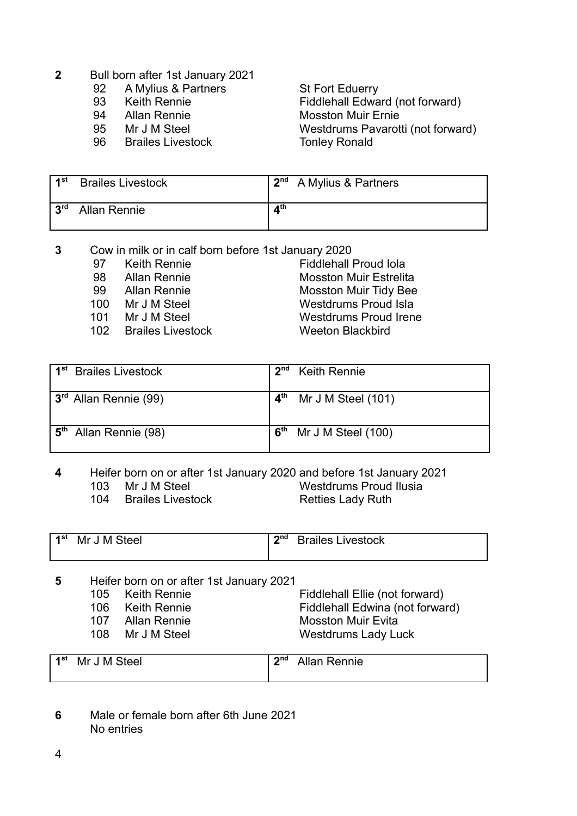- **2** Bull born after 1st January 2021
	- 92 A Mylius & Partners St Fort Eduerry
	-
	-
	-
	- 96 Brailes Livestock Tonley Ronald

 93 Keith Rennie Fiddlehall Edward (not forward) 94 Allan Rennie Mosston Muir Ernie 95 Mr J M Steel Westdrums Pavarotti (not forward)

| –4st            | <b>Brailes Livestock</b> |                          | 2 <sup>nd</sup> A Mylius & Partners |
|-----------------|--------------------------|--------------------------|-------------------------------------|
| 3 <sup>rd</sup> | Allan Rennie             | $\mathbf{A}^{\text{th}}$ |                                     |

- **3** Cow in milk or in calf born before 1st January 2020
	-
	-
	-
	-
	-
	- 102 Brailes Livestock Weeton Blackbird

 97 Keith Rennie Fiddlehall Proud Iola 98 Allan Rennie Mosston Muir Estrelita 99 Allan Rennie Mosston Muir Tidy Bee 100 Mr J M Steel Westdrums Proud Isla<br>101 Mr J M Steel Westdrums Proud Iren 101 Mr J M Steel Westdrums Proud Irene

| 1 <sup>st</sup> Brailes Livestock | 2 <sub>nd</sub><br>Keith Rennie         |
|-----------------------------------|-----------------------------------------|
| 3 <sup>rd</sup> Allan Rennie (99) | $4^{\text{th}}$<br>Mr J M Steel $(101)$ |
| 5 <sup>th</sup> Allan Rennie (98) | $6th$ Mr J M Steel (100)                |

### **4** Heifer born on or after 1st January 2020 and before 1st January 2021

104 Brailes Livestock Retties Lady Ruth

103 Mr J M Steel Westdrums Proud Ilusia

| າກd<br>⊿st,<br><sup>.</sup> J M Steel<br>Mr | <b>Brailes Livestock</b> |
|---------------------------------------------|--------------------------|
|---------------------------------------------|--------------------------|

- **5** Heifer born on or after 1st January 2021
	-
	-
	-
	-

105 Keith Rennie Fiddlehall Ellie (not forward) 106 Keith Rennie Fiddlehall Edwina (not forward) 107 Allan Rennie Mosston Muir Evita 108 Mr J M Steel Westdrums Lady Luck

| 1 <sup>st</sup> Mr J M Steel | 2 <sub>nd</sub> | <b>Allan Rennie</b> |
|------------------------------|-----------------|---------------------|
|                              |                 |                     |

**6** Male or female born after 6th June 2021 No entries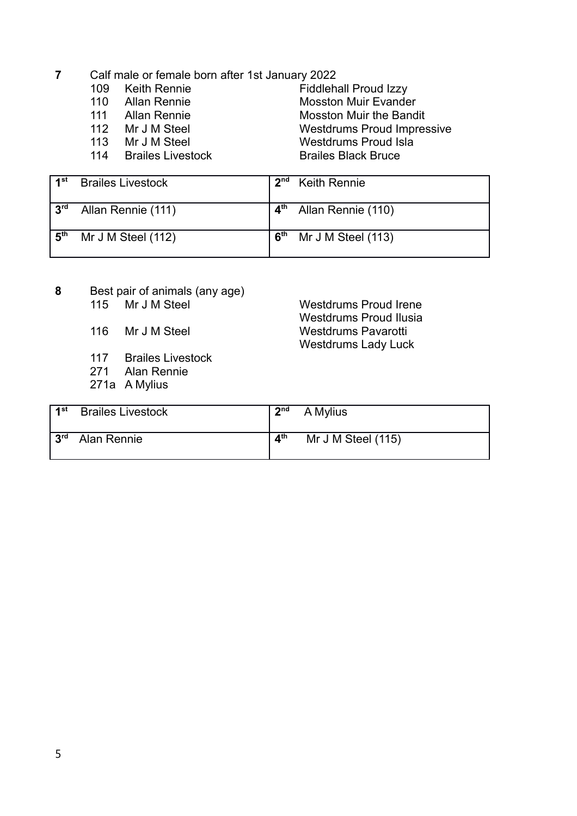- **7** Calf male or female born after 1st January 2022
	-
	-
	-
	-
	-
	- 114 Brailes Livestock Brailes Black Bruce

109 Keith Rennie **Fiddlehall Proud Izzy** 110 Allan Rennie Mosston Muir Evander 111 Allan Rennie **Mosston Muir the Bandit** 112 Mr J M Steel Westdrums Proud Impressive 113 Mr J M Steel Westdrums Proud Isla

> **Westdrums Proud Irene** Westdrums Proud Ilusia

Westdrums Lady Luck

| 1 <sub>1</sub> st  | <b>Brailes Livestock</b> | 2 <sub>nd</sub> | Keith Rennie         |
|--------------------|--------------------------|-----------------|----------------------|
| $13^{\text{rd}}$   | Allan Rennie (111)       | $4^{\text{th}}$ | Allan Rennie (110)   |
| $-5$ <sup>th</sup> | Mr J M Steel $(112)$     | 6 <sup>th</sup> | Mr J M Steel $(113)$ |

- **8** Best pair of animals (any age)
	- 116 Mr J M Steel Westdrums Pavarotti
	- 117 Brailes Livestock
	- 271 Alan Rennie
	- 271a A Mylius

| 1st             | <b>Brailes Livestock</b> | 2 <sub>nd</sub>          | A Mylius             |
|-----------------|--------------------------|--------------------------|----------------------|
| 3 <sup>rd</sup> | Alan Rennie              | $\mathbf{A}^{\text{th}}$ | Mr J M Steel $(115)$ |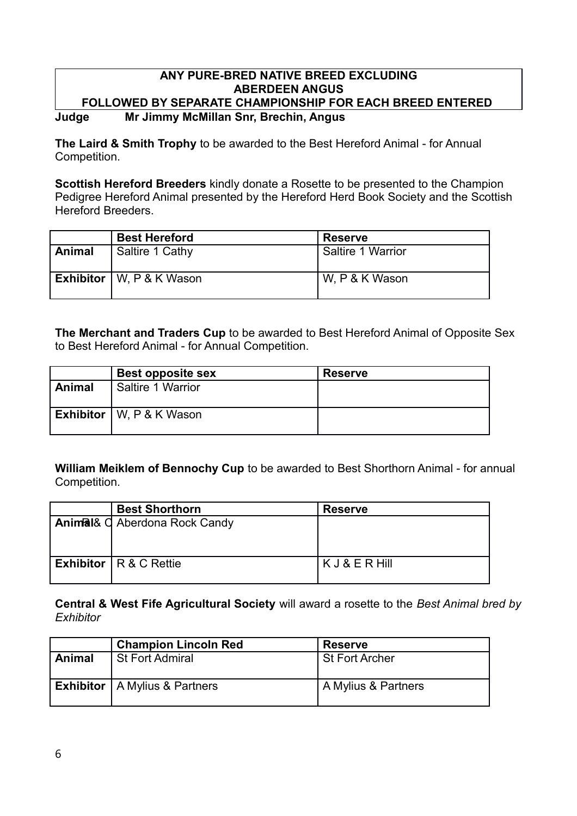#### **ANY PURE-BRED NATIVE BREED EXCLUDING ABERDEEN ANGUS FOLLOWED BY SEPARATE CHAMPIONSHIP FOR EACH BREED ENTERED Judge Mr Jimmy McMillan Snr, Brechin, Angus**

**The Laird & Smith Trophy** to be awarded to the Best Hereford Animal - for Annual Competition.

**Scottish Hereford Breeders** kindly donate a Rosette to be presented to the Champion Pedigree Hereford Animal presented by the Hereford Herd Book Society and the Scottish Hereford Breeders.

|        | <b>Best Hereford</b>                    | <b>Reserve</b>           |
|--------|-----------------------------------------|--------------------------|
| Animal | Saltire 1 Cathy                         | <b>Saltire 1 Warrior</b> |
|        | <b>Exhibitor</b> $\vert$ W, P & K Wason | W, P & K Wason           |

**The Merchant and Traders Cup** to be awarded to Best Hereford Animal of Opposite Sex to Best Hereford Animal - for Annual Competition.

|        | <b>Best opposite sex</b>                | <b>Reserve</b> |
|--------|-----------------------------------------|----------------|
| Animal | <b>Saltire 1 Warrior</b>                |                |
|        | <b>Exhibitor</b> $\vert$ W, P & K Wason |                |

**William Meiklem of Bennochy Cup** to be awarded to Best Shorthorn Animal - for annual Competition.

| <b>Best Shorthorn</b>                    | <b>Reserve</b> |
|------------------------------------------|----------------|
| <b>Animal&amp; C</b> Aberdona Rock Candy |                |
|                                          |                |
|                                          |                |
| <b>Exhibitor</b> $\vert$ R & C Rettie    | KJ&ERHill      |
|                                          |                |

**Central & West Fife Agricultural Society** will award a rosette to the *Best Animal bred by Exhibitor*

|        | <b>Champion Lincoln Red</b>            | <b>Reserve</b>        |
|--------|----------------------------------------|-----------------------|
| Animal | <b>St Fort Admiral</b>                 | <b>St Fort Archer</b> |
|        | <b>Exhibitor</b>   A Mylius & Partners | A Mylius & Partners   |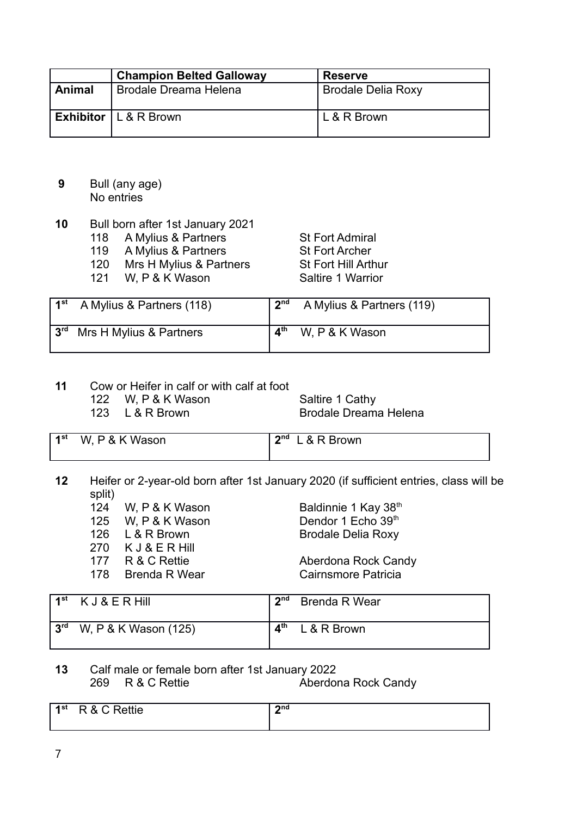|        | <b>Champion Belted Galloway</b>  | <b>Reserve</b>            |
|--------|----------------------------------|---------------------------|
| Animal | <b>Brodale Dreama Helena</b>     | <b>Brodale Delia Roxy</b> |
|        | <b>Exhibitor</b> $ $ L & R Brown | $L & R$ Brown             |

- **9** Bull (any age) No entries
- **10** Bull born after 1st January 2021
	- 118 A Mylius & Partners St Fort Admiral
	- 119 A Mylius & Partners St Fort Archer
	- 120 Mrs H Mylius & Partners St Fort Hill Arthur
	- 121 W, P & K Wason Saltire 1 Warrior

| 1 <sup>st</sup> | A Mylius & Partners (118) | 2 <sup>nd</sup>          | A Mylius & Partners (119) |
|-----------------|---------------------------|--------------------------|---------------------------|
| 3 <sup>rd</sup> | Mrs H Mylius & Partners   | $\mathbf{A}^{\text{th}}$ | W, P & K Wason            |

**11** Cow or Heifer in calf or with calf at foot<br>122 W. P & K Wason

- W, P & K Wason Saltire 1 Cathy
- 

123 L & R Brown Brodale Dreama Helena

| 1 <sup>st</sup> W, P & K Wason | $2nd$ L & R Brown |
|--------------------------------|-------------------|
|                                |                   |
|                                |                   |

**12** Heifer or 2-year-old born after 1st January 2020 (if sufficient entries, class will be split)

- 124 W, P & K Wason Baldinnie 1 Kay 38th
- 
- 
- 270 K J & E R Hill
- 
- 

125 W. P & K Wason Dendor 1 Echo 39<sup>th</sup> 126 L & R Brown Brodale Delia Roxy

177 R & C Rettie **Aberdona Rock Candy** 178 Brenda R Wear Cairnsmore Patricia

|                 | $1st$ K J & E R Hill | 2 <sub>nd</sub>          | Brenda R Wear |
|-----------------|----------------------|--------------------------|---------------|
| 3 <sup>rd</sup> | W, P & K Wason (125) | $\mathbf{A}^{\text{th}}$ | L & R Brown   |

#### **13** Calf male or female born after 1st January 2022 269 R & C Rettie Aberdona Rock Candy

 $1<sup>st</sup>$ **st** R & C Rettie **2** 2<sup>nd</sup>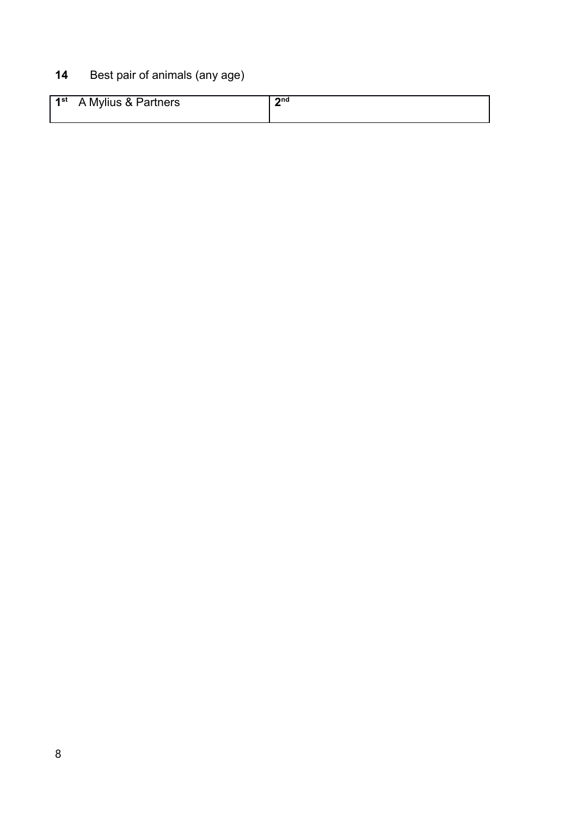## **14** Best pair of animals (any age)

| 2nq<br>$1st$ A Mylius & Partners |  |
|----------------------------------|--|
|----------------------------------|--|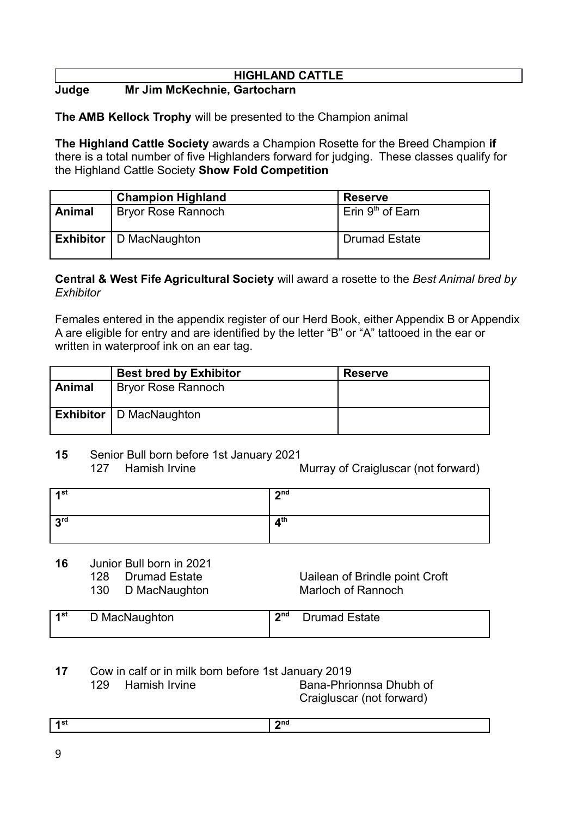#### **HIGHLAND CATTLE**

#### **Judge Mr Jim McKechnie, Gartocharn**

**The AMB Kellock Trophy** will be presented to the Champion animal

**The Highland Cattle Society** awards a Champion Rosette for the Breed Champion **if** there is a total number of five Highlanders forward for judging. These classes qualify for the Highland Cattle Society **Show Fold Competition**

|        | <b>Champion Highland</b>               | <b>Reserve</b>               |
|--------|----------------------------------------|------------------------------|
| Animal | <b>Bryor Rose Rannoch</b>              | Erin 9 <sup>th</sup> of Earn |
|        | <b>Exhibitor</b> $\vert$ D MacNaughton | <b>Drumad Estate</b>         |

**Central & West Fife Agricultural Society** will award a rosette to the *Best Animal bred by Exhibitor*

Females entered in the appendix register of our Herd Book, either Appendix B or Appendix A are eligible for entry and are identified by the letter "B" or "A" tattooed in the ear or written in waterproof ink on an ear tag.

|        | <b>Best bred by Exhibitor</b>          | <b>Reserve</b> |
|--------|----------------------------------------|----------------|
| Animal | <b>Bryor Rose Rannoch</b>              |                |
|        | <b>Exhibitor</b> $\vert$ D MacNaughton |                |

#### **15** Senior Bull born before 1st January 2021

127 Hamish Irvine **Murray of Craigluscar (not forward)** 

| ⊿st             | 2 <sub>nd</sub>                |
|-----------------|--------------------------------|
| 2 <sub>rd</sub> | $\boldsymbol{A}^{\mathsf{th}}$ |

#### **16** Junior Bull born in 2021

- 
- 130 D MacNaughton Marloch of Rannoch

128 Drumad Estate Uailean of Brindle point Croft

| ⊿st | D MacNaughton | 2 <sub>nd</sub> | <b>Drumad Estate</b> |
|-----|---------------|-----------------|----------------------|
|     |               |                 |                      |

## **17** Cow in calf or in milk born before 1st January 2019

129 Hamish Irvine Bana-Phrionnsa Dhubh of Craigluscar (not forward)

| nna. |
|------|
|      |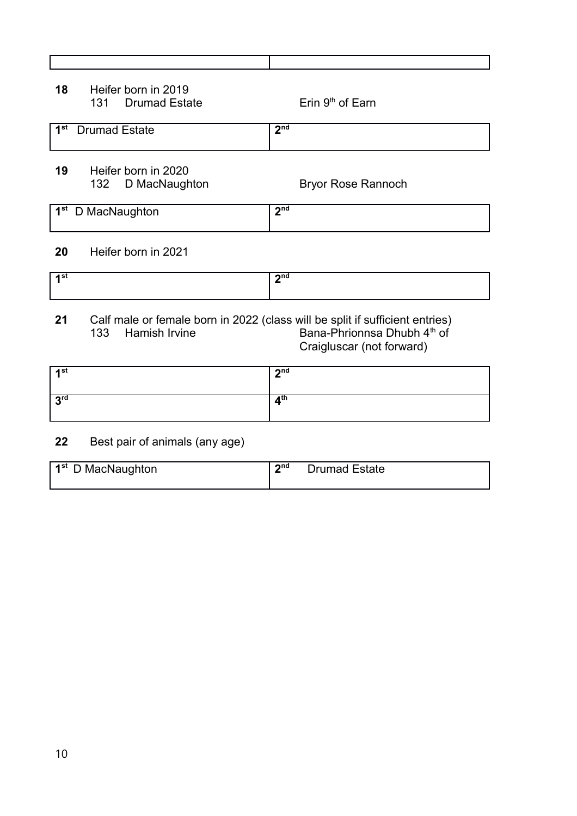## **18** Heifer born in 2019 131 Drumad Estate Erin 9th of Earn **1 st** Drumad Estate **2 nd 19** Heifer born in 2020 132 D MacNaughton Bryor Rose Rannoch

| 1 <sup>st</sup> D MacNaughton | ond |
|-------------------------------|-----|

#### **20** Heifer born in 2021

| $\sim$ | <b>o</b> nd |
|--------|-------------|
|        |             |

#### **21** Calf male or female born in 2022 (class will be split if sufficient entries) 133 Hamish Irvine **Bana-Phrionnsa Dhubh 4th** of Craigluscar (not forward)

| ⊿rst            | 2 <sup>nd</sup> |
|-----------------|-----------------|
| 3 <sup>rd</sup> | 4 <sup>th</sup> |

### **22** Best pair of animals (any age)

| <b>2nd</b> | <b>Drumad Estate</b> |
|------------|----------------------|
|            |                      |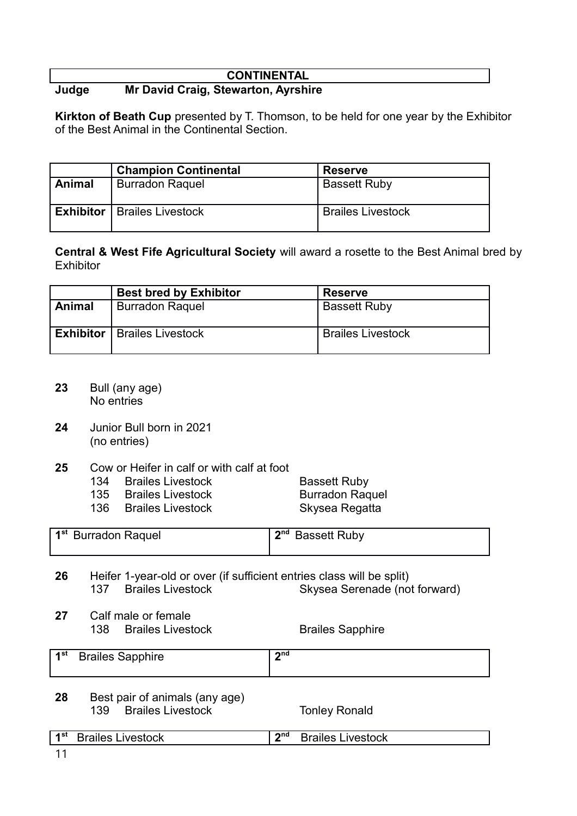#### **CONTINENTAL**

### **Judge Mr David Craig, Stewarton, Ayrshire**

**Kirkton of Beath Cup** presented by T. Thomson, to be held for one year by the Exhibitor of the Best Animal in the Continental Section.

|        | <b>Champion Continental</b>          | <b>Reserve</b>           |
|--------|--------------------------------------|--------------------------|
| Animal | <b>Burradon Raquel</b>               | <b>Bassett Ruby</b>      |
|        | <b>Exhibitor</b>   Brailes Livestock | <b>Brailes Livestock</b> |

**Central & West Fife Agricultural Society** will award a rosette to the Best Animal bred by **Exhibitor** 

|        | <b>Best bred by Exhibitor</b>        | <b>Reserve</b>           |
|--------|--------------------------------------|--------------------------|
| Animal | <b>Burradon Raquel</b>               | <b>Bassett Ruby</b>      |
|        | <b>Exhibitor</b>   Brailes Livestock | <b>Brailes Livestock</b> |

- **23** Bull (any age) No entries
- **24** Junior Bull born in 2021 (no entries)
- **25** Cow or Heifer in calf or with calf at foot
	- 134 Brailes Livestock Bassett Ruby
	- 135 Brailes Livestock Burradon Raquel
	- 136 Brailes Livestock Skysea Regatta

| 1 <sup>st</sup> Burradon Raquel | 2 <sup>nd</sup> Bassett Ruby |
|---------------------------------|------------------------------|
|                                 |                              |

**26** Heifer 1-year-old or over (if sufficient entries class will be split)<br>137 Brailes Livestock Skysea Serenade (no 137 Brailes Livestock Skysea Serenade (not forward)

**27** Calf male or female

138 Brailes Livestock Brailes Sapphire

| 1 <sup>st</sup> Brailes Sapphire | <b>o</b> nd |
|----------------------------------|-------------|
|                                  |             |

**28** Best pair of animals (any age) 139 Brailes Livestock Tonley Ronald

| .cs | <b>ond</b><br>$1^{\rm st}$<br>ivestock<br>. | .<br>.ivestock |
|-----|---------------------------------------------|----------------|
|-----|---------------------------------------------|----------------|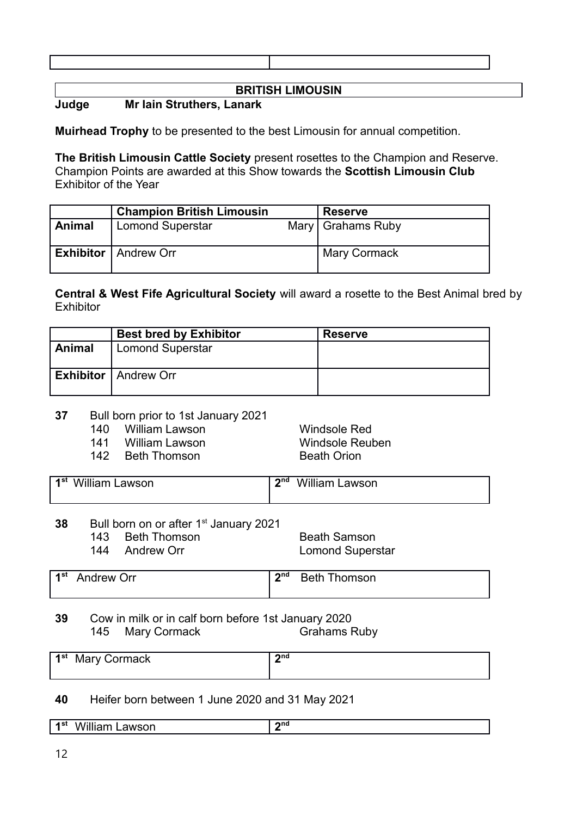#### **BRITISH LIMOUSIN**

#### **Judge Mr Iain Struthers, Lanark**

**Muirhead Trophy** to be presented to the best Limousin for annual competition.

**The British Limousin Cattle Society** present rosettes to the Champion and Reserve. Champion Points are awarded at this Show towards the **Scottish Limousin Club** Exhibitor of the Year

|               | <b>Champion British Limousin</b> | <b>Reserve</b>      |
|---------------|----------------------------------|---------------------|
| <b>Animal</b> | <b>Lomond Superstar</b>          | Mary   Grahams Ruby |
|               | <b>Exhibitor</b>   Andrew Orr    | <b>Mary Cormack</b> |

**Central & West Fife Agricultural Society** will award a rosette to the Best Animal bred by **Exhibitor** 

|               | <b>Best bred by Exhibitor</b> | <b>Reserve</b> |
|---------------|-------------------------------|----------------|
| <b>Animal</b> | <b>Lomond Superstar</b>       |                |
|               | <b>Exhibitor</b>   Andrew Orr |                |

#### **37** Bull born prior to 1st January 2021

- 140 William Lawson Windsole Red
- 141 William Lawson Windsole Reuben
- 142 Beth Thomson Beath Orion

| 1 <sup>st</sup> William Lawson | ond<br><b>William Lawson</b> |
|--------------------------------|------------------------------|
|                                |                              |

#### **38** Bull born on or after 1<sup>st</sup> January 2021

- 143 Beth Thomson Beath Samson
- 144 Andrew Orr **Lomond Superstar**

| 1 <sup>st</sup> Andrew Orr | <b>2nd</b> | <b>Beth Thomson</b> |
|----------------------------|------------|---------------------|
|                            |            |                     |

#### **39** Cow in milk or in calf born before 1st January 2020 145 Mary Cormack Grahams Ruby

| 1 <sup>st</sup> Mary Cormack | <b>o</b> nd |
|------------------------------|-------------|
|                              |             |

**40** Heifer born between 1 June 2020 and 31 May 2021

|  | ንበር<br>.<br>. .<br>им<br>$-$<br>$\sim$<br>עעו<br>ו ש |
|--|------------------------------------------------------|
|--|------------------------------------------------------|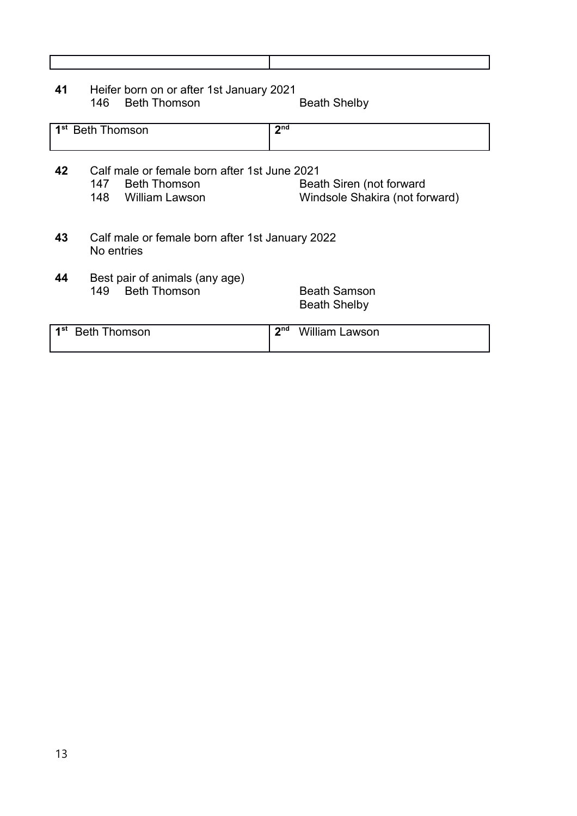| 41              | Heifer born on or after 1st January 2021<br><b>Beth Thomson</b><br>146                           |                 | <b>Beath Shelby</b>                                        |
|-----------------|--------------------------------------------------------------------------------------------------|-----------------|------------------------------------------------------------|
|                 | 1 <sup>st</sup> Beth Thomson                                                                     | 2 <sup>nd</sup> |                                                            |
| 42              | Calf male or female born after 1st June 2021<br>147<br><b>Beth Thomson</b><br>148 William Lawson |                 | Beath Siren (not forward<br>Windsole Shakira (not forward) |
| 43              | Calf male or female born after 1st January 2022<br>No entries                                    |                 |                                                            |
| 44              | Best pair of animals (any age)<br><b>Beth Thomson</b><br>149 -                                   |                 | <b>Beath Samson</b><br><b>Beath Shelby</b>                 |
| 1 <sup>st</sup> | <b>Beth Thomson</b>                                                                              | 2 <sup>nd</sup> | <b>William Lawson</b>                                      |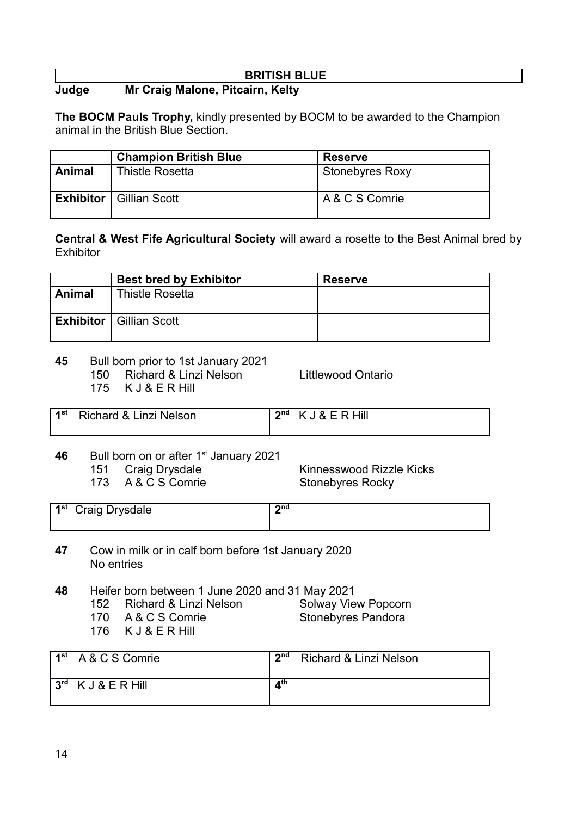#### **BRITISH BLUE**

#### **Judge Mr Craig Malone, Pitcairn, Kelty**

**The BOCM Pauls Trophy,** kindly presented by BOCM to be awarded to the Champion animal in the British Blue Section.

|        | <b>Champion British Blue</b>     | <b>Reserve</b>         |
|--------|----------------------------------|------------------------|
| Animal | <b>Thistle Rosetta</b>           | <b>Stonebyres Roxy</b> |
|        | <b>Exhibitor</b>   Gillian Scott | A & C S Comrie         |

**Central & West Fife Agricultural Society** will award a rosette to the Best Animal bred by Exhibitor

|               | <b>Best bred by Exhibitor</b>    | <b>Reserve</b> |
|---------------|----------------------------------|----------------|
| <b>Animal</b> | Thistle Rosetta                  |                |
|               | <b>Exhibitor</b>   Gillian Scott |                |

#### **45** Bull born prior to 1st January 2021

150 Richard & Linzi Nelson Littlewood Ontario

175 K J & E R Hill

| 1 <sup>st</sup> Richard & Linzi Nelson | ንnd | J & E R Hill<br>K |
|----------------------------------------|-----|-------------------|
|                                        |     |                   |

### **46** Bull born on or after 1<sup>st</sup> January 2021

- 
- 173 A & C S Comrie Stonebyres Rocky

151 Craig Drysdale Kinnesswood Rizzle Kicks

| 1 <sup>st</sup> Craig Drysdale | ኅnd |
|--------------------------------|-----|
|                                |     |

- **47** Cow in milk or in calf born before 1st January 2020 No entries
- **48** Heifer born between 1 June 2020 and 31 May 2021
	- 152 Richard & Linzi Nelson Solway View Popcorn
		-
	- 170 A & C S Comrie Stonebyres Pandora 176 K J & E R Hill
- **1 st** A & C S Comrie **2** 2<sup>nd</sup> Richard & Linzi Nelson **3 rd** K J & E R Hill **4 th**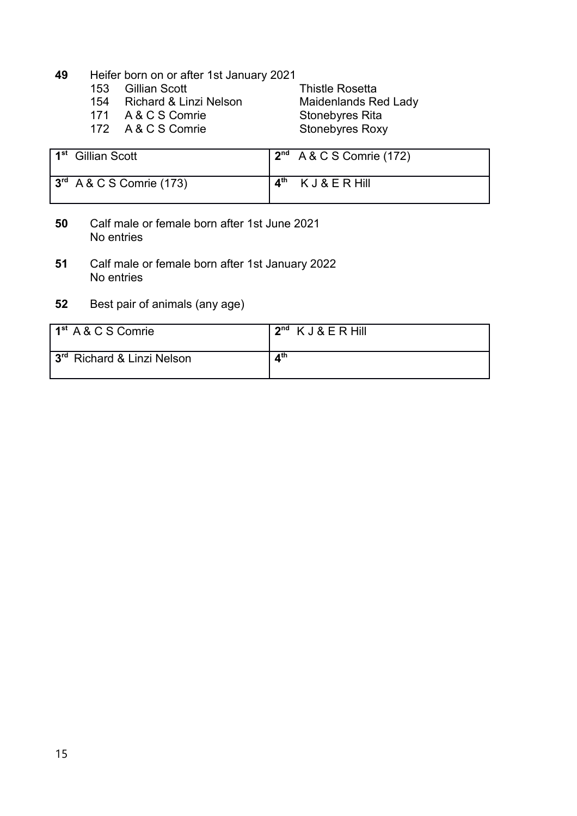#### **49** Heifer born on or after 1st January 2021

- 
- 154 Richard & Linzi Nelson Maidenlands Red Lady
- 
- 172 A & C S Comrie

153 Gillian Scott<br>154 Richard & Linzi Nelson Maidenlands Re 171 A & C S Comrie Stonebyres Rita<br>172 A & C S Comrie Stonebyres Roxy

| l 1 <sup>st</sup> Gillian Scott | $2^{nd}$ A & C S Comrie (172)              |
|---------------------------------|--------------------------------------------|
| $3rd$ A & C S Comrie (173)      | $\mathbf{A}^{\text{th}}$<br>K J & E R Hill |

- **50** Calf male or female born after 1st June 2021 No entries
- **51** Calf male or female born after 1st January 2022 No entries
- **52** Best pair of animals (any age)

| 1 <sup>st</sup> A & C S Comrie         | 2 <sup>nd</sup> KJ&ERHill |
|----------------------------------------|---------------------------|
| 3 <sup>rd</sup> Richard & Linzi Nelson | $\mathbf{A}^{\text{th}}$  |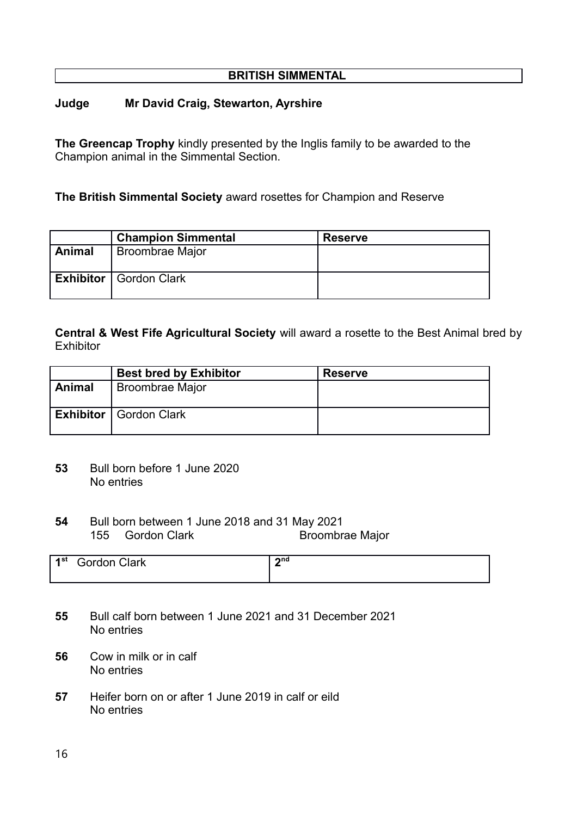#### **BRITISH SIMMENTAL**

#### **Judge Mr David Craig, Stewarton, Ayrshire**

**The Greencap Trophy** kindly presented by the Inglis family to be awarded to the Champion animal in the Simmental Section.

**The British Simmental Society** award rosettes for Champion and Reserve

|        | <b>Champion Simmental</b>       | <b>Reserve</b> |
|--------|---------------------------------|----------------|
| Animal | <b>Broombrae Major</b>          |                |
|        | <b>Exhibitor   Gordon Clark</b> |                |

**Central & West Fife Agricultural Society** will award a rosette to the Best Animal bred by **Exhibitor** 

|               | <b>Best bred by Exhibitor</b>   | <b>Reserve</b> |
|---------------|---------------------------------|----------------|
| <b>Animal</b> | <b>Broombrae Major</b>          |                |
|               | <b>Exhibitor</b>   Gordon Clark |                |

- **53** Bull born before 1 June 2020 No entries
- **54** Bull born between 1 June 2018 and 31 May 2021 155 Gordon Clark Broombrae Major

| 1st | <b>Gordon Clark</b> | <b>o</b> nd<br>- |
|-----|---------------------|------------------|
|     |                     |                  |

- **55** Bull calf born between 1 June 2021 and 31 December 2021 No entries
- **56** Cow in milk or in calf No entries
- **57** Heifer born on or after 1 June 2019 in calf or eild No entries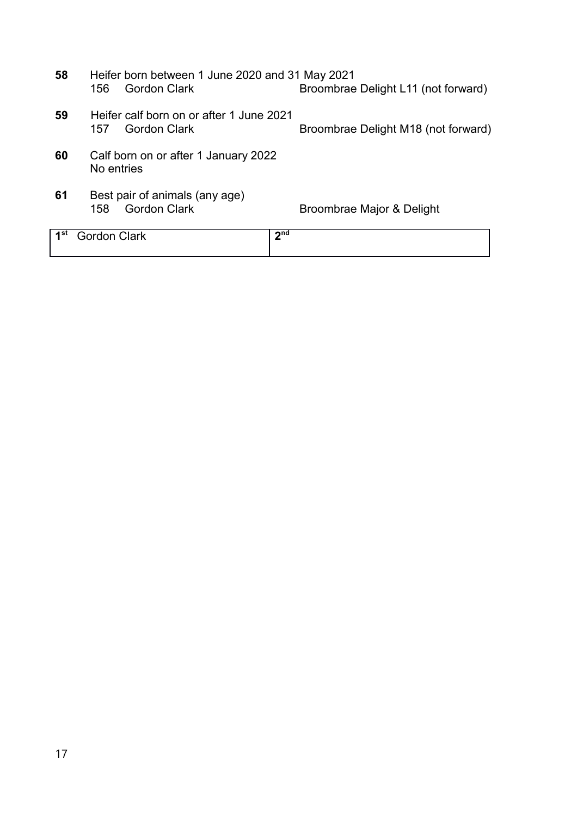| 1 <sup>st</sup> | <b>Gordon Clark</b> |                                                                        | 2 <sub>nd</sub>                     |
|-----------------|---------------------|------------------------------------------------------------------------|-------------------------------------|
| 61              | 158.                | Best pair of animals (any age)<br><b>Gordon Clark</b>                  | Broombrae Major & Delight           |
| 60              | No entries          | Calf born on or after 1 January 2022                                   |                                     |
| 59              | 157                 | Heifer calf born on or after 1 June 2021<br>Gordon Clark               | Broombrae Delight M18 (not forward) |
| 58              | 156                 | Heifer born between 1 June 2020 and 31 May 2021<br><b>Gordon Clark</b> | Broombrae Delight L11 (not forward) |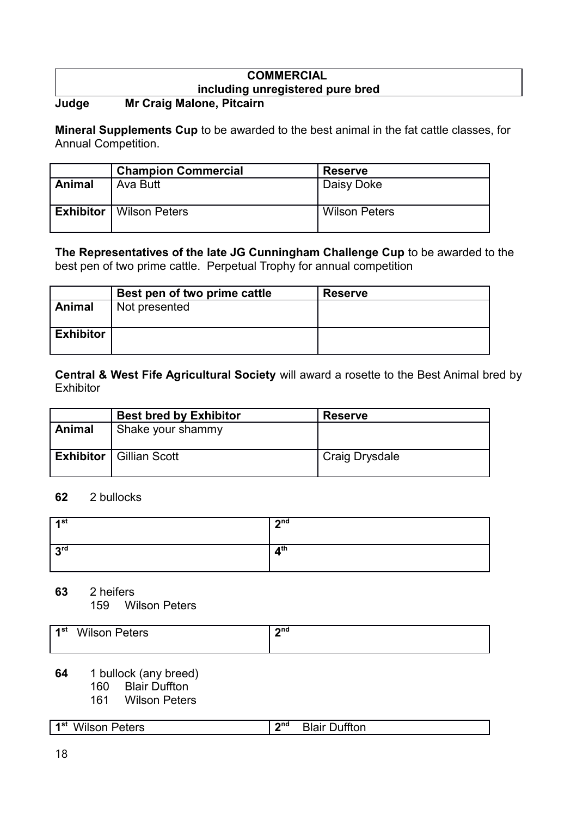## **COMMERCIAL including unregistered pure bred**

## **Judge Mr Craig Malone, Pitcairn**

**Mineral Supplements Cup** to be awarded to the best animal in the fat cattle classes, for Annual Competition.

|        | <b>Champion Commercial</b>       | <b>Reserve</b>       |
|--------|----------------------------------|----------------------|
| Animal | Ava Butt                         | Daisy Doke           |
|        | <b>Exhibitor</b>   Wilson Peters | <b>Wilson Peters</b> |

**The Representatives of the late JG Cunningham Challenge Cup** to be awarded to the best pen of two prime cattle. Perpetual Trophy for annual competition

|                  | Best pen of two prime cattle | <b>Reserve</b> |
|------------------|------------------------------|----------------|
| <b>Animal</b>    | Not presented                |                |
| <b>Exhibitor</b> |                              |                |

**Central & West Fife Agricultural Society** will award a rosette to the Best Animal bred by **Exhibitor** 

|        | <b>Best bred by Exhibitor</b>    | <b>Reserve</b> |
|--------|----------------------------------|----------------|
| Animal | Shake your shammy                |                |
|        | <b>Exhibitor</b>   Gillian Scott | Craig Drysdale |

#### **62** 2 bullocks

| ⊿ si | າ <sub></sub> nd           |
|------|----------------------------|
| 2rd  | $\mathbf{A}^{\mathsf{th}}$ |

**63** 2 heifers

159 Wilson Peters

| ⊿st | Wilson <b>F</b><br>-<br><b>Peters</b> | າ <sub></sub> nd<br>∸ |
|-----|---------------------------------------|-----------------------|
|     |                                       |                       |

#### **64** 1 bullock (any breed)

- 160 Blair Duffton
- 161 Wilson Peters

| .<br>'N<br>яы<br>--<br>---<br>∼ | <b>Onc</b><br>- 14 | --<br>---<br>.<br>uun |
|---------------------------------|--------------------|-----------------------|
|                                 |                    |                       |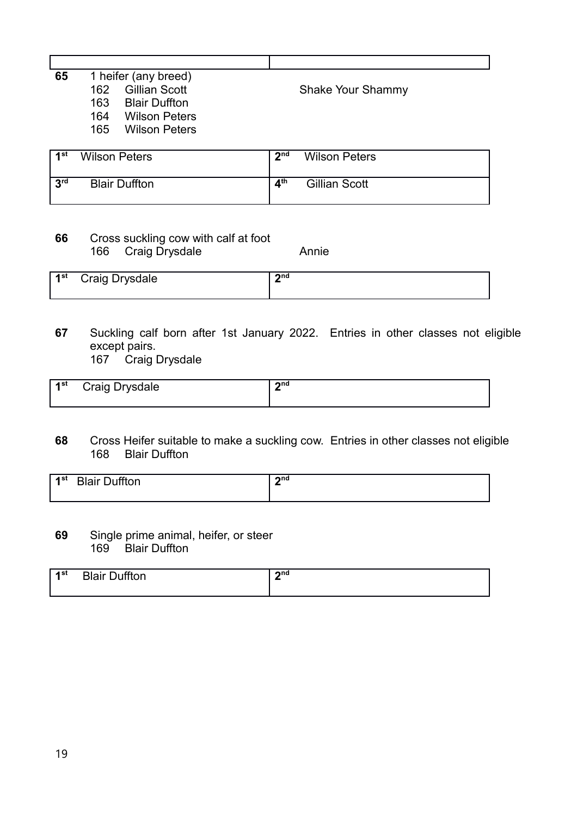| 65 |      | 1 heifer (any breed) |                          |
|----|------|----------------------|--------------------------|
|    | 162  | <b>Gillian Scott</b> | <b>Shake Your Shammy</b> |
|    | 163. | <b>Blair Duffton</b> |                          |
|    | 164  | <b>Wilson Peters</b> |                          |
|    | 165. | <b>Wilson Peters</b> |                          |

| ⊿st        | <b>Wilson Peters</b> | າ <sub></sub> nd         | <b>Wilson Peters</b> |
|------------|----------------------|--------------------------|----------------------|
| <b>2rd</b> | <b>Blair Duffton</b> | $\mathbf{A}^{\text{th}}$ | <b>Gillian Scott</b> |

**66** Cross suckling cow with calf at foot 166 Craig Drysdale **Annie** 

| 1 <sup>st</sup> Craig Drysdale | $\mathbf{\sim}$ nd |
|--------------------------------|--------------------|
|                                |                    |

**67** Suckling calf born after 1st January 2022. Entries in other classes not eligible except pairs.

167 Craig Drysdale

| ⊿rst | Craig Drysdale | ond |
|------|----------------|-----|
|      |                |     |

**68** Cross Heifer suitable to make a suckling cow. Entries in other classes not eligible 168 Blair Duffton

| <b>വ</b><br>rri,<br>∤∣st<br><b>Rlair</b><br>.<br>~~ |  |
|-----------------------------------------------------|--|

**69** Single prime animal, heifer, or steer 169 Blair Duffton

| <b>o</b> nd<br>CC1.<br>1st<br>100 <sup>2</sup><br>--<br>∼ |  |
|-----------------------------------------------------------|--|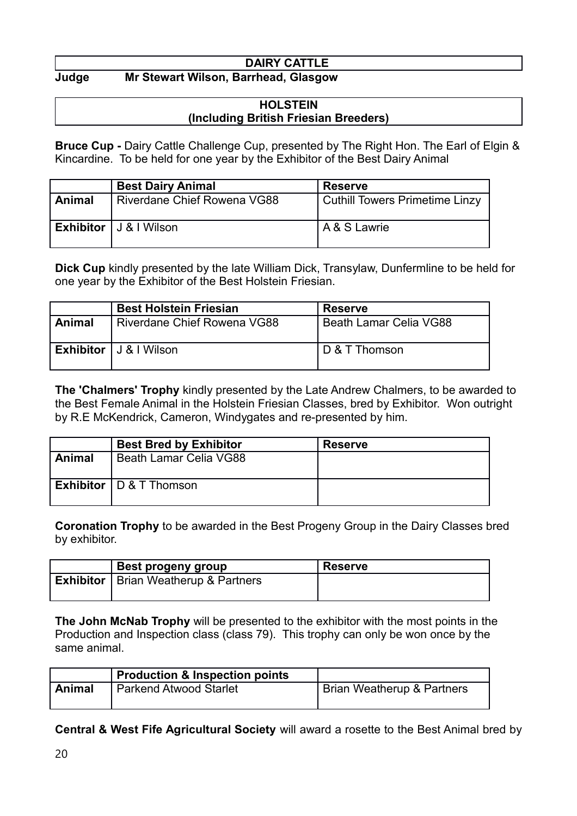#### **DAIRY CATTLE**

#### **Judge Mr Stewart Wilson, Barrhead, Glasgow**

#### **HOLSTEIN (Including British Friesian Breeders)**

**Bruce Cup -** Dairy Cattle Challenge Cup, presented by The Right Hon. The Earl of Elgin & Kincardine. To be held for one year by the Exhibitor of the Best Dairy Animal

|        | <b>Best Dairy Animal</b>           | <b>Reserve</b>                 |
|--------|------------------------------------|--------------------------------|
| Animal | <b>Riverdane Chief Rowena VG88</b> | Cuthill Towers Primetime Linzy |
|        | <b>Exhibitor</b>   J & I Wilson    | A& S Lawrie                    |

**Dick Cup** kindly presented by the late William Dick, Transylaw, Dunfermline to be held for one year by the Exhibitor of the Best Holstein Friesian.

|        | <b>Best Holstein Friesian</b>      | <b>Reserve</b>         |
|--------|------------------------------------|------------------------|
| Animal | <b>Riverdane Chief Rowena VG88</b> | Beath Lamar Celia VG88 |
|        | <b>Exhibitor</b>   J & I Wilson    | D & T Thomson          |

**The 'Chalmers' Trophy** kindly presented by the Late Andrew Chalmers, to be awarded to the Best Female Animal in the Holstein Friesian Classes, bred by Exhibitor. Won outright by R.E McKendrick, Cameron, Windygates and re-presented by him.

|        | <b>Best Bred by Exhibitor</b>          | <b>Reserve</b> |
|--------|----------------------------------------|----------------|
| Animal | <b>Beath Lamar Celia VG88</b>          |                |
|        | <b>Exhibitor</b> $\vert$ D & T Thomson |                |

**Coronation Trophy** to be awarded in the Best Progeny Group in the Dairy Classes bred by exhibitor.

| Best progeny group                            | <b>Reserve</b> |
|-----------------------------------------------|----------------|
| <b>Exhibitor</b>   Brian Weatherup & Partners |                |

**The John McNab Trophy** will be presented to the exhibitor with the most points in the Production and Inspection class (class 79). This trophy can only be won once by the same animal.

|        | <b>Production &amp; Inspection points</b> |                                       |
|--------|-------------------------------------------|---------------------------------------|
| Animal | <b>Parkend Atwood Starlet</b>             | <b>Brian Weatherup &amp; Partners</b> |

**Central & West Fife Agricultural Society** will award a rosette to the Best Animal bred by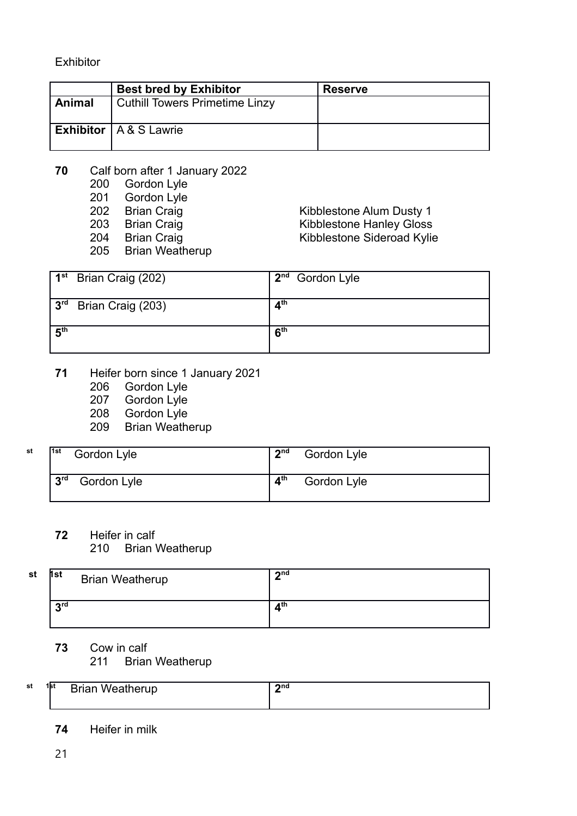#### **Exhibitor**

|        | <b>Best bred by Exhibitor</b>         | <b>Reserve</b> |
|--------|---------------------------------------|----------------|
| Animal | <b>Cuthill Towers Primetime Linzy</b> |                |
|        | <b>Exhibitor</b>   A & S Lawrie       |                |

- **70** Calf born after 1 January 2022
	- 200 Gordon Lyle<br>201 Gordon Lyle
	- Gordon Lyle
	- 202 Brian Craig **Kibblestone Alum Dusty 1**
	- 203 Brian Craig **Kibblestone Hanley Gloss**
	- 204 Brian Craig **Kibblestone Sideroad Kylie**
	- 205 Brian Weatherup

|                 | 1 <sup>st</sup> Brian Craig (202) | 2 <sup>nd</sup> Gordon Lyle |
|-----------------|-----------------------------------|-----------------------------|
|                 | 3 <sup>rd</sup> Brian Craig (203) | 4 <sup>th</sup>             |
| $5^{\text{th}}$ |                                   | 6 <sup>th</sup>             |

#### **71** Heifer born since 1 January 2021

- 206 Gordon Lyle
- 207 Gordon Lyle
- 208 Gordon Lyle
- 209 Brian Weatherup
- 

#### st <sup>1st</sup> Gordon Lyle **2<sup>nd</sup> Gordon Lyle**  $3<sup>rd</sup>$ **Gordon Lyle**  $4<sup>th</sup>$ Gordon Lyle

#### **72** Heifer in calf

210 Brian Weatherup

| st | 1st      | <b>Brian Weatherup</b> | $\gamma$ nd     |
|----|----------|------------------------|-----------------|
|    | 2rd<br>υ |                        | 4 <sup>th</sup> |

#### **73** Cow in calf

211 Brian Weatherup

| st | ופו | .<br>. | <b>Onc</b> |
|----|-----|--------|------------|
|----|-----|--------|------------|

#### **74** Heifer in milk

21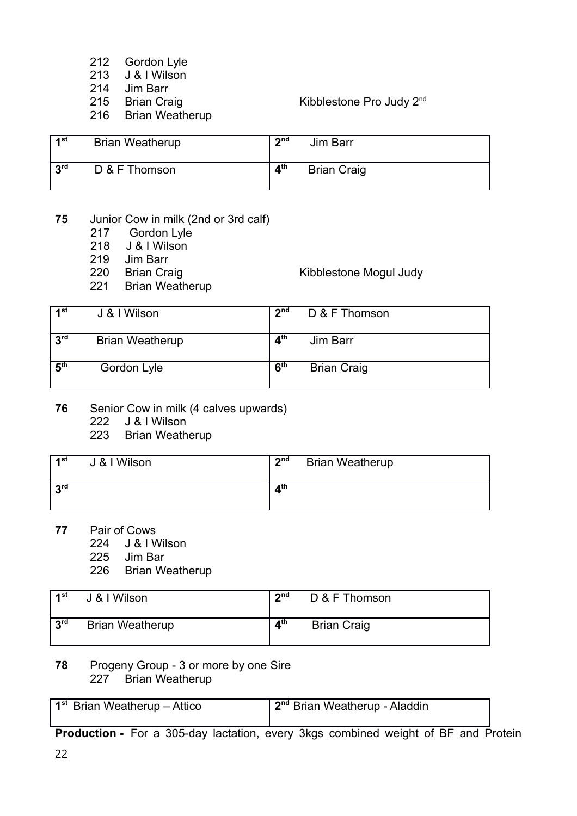#### 212 Gordon Lyle

- 213 J & I Wilson
- 214 Jim Barr
- 
- 216 Brian Weatherup

#### 215 Brian Craig **Kibblestone Pro Judy 2<sup>nd</sup>**

| ⊿st             | <b>Brian Weatherup</b> | <b>o</b> nd                  | Jim Barr           |
|-----------------|------------------------|------------------------------|--------------------|
| 2 <sub>rd</sub> | D & F Thomson          | $\boldsymbol{A}^{\text{th}}$ | <b>Brian Craig</b> |

#### **75** Junior Cow in milk (2nd or 3rd calf)

- 217 Gordon Lyle
- 218 J & I Wilson
- 219 Jim Barr
- 
- 221 Brian Weatherup

220 Brian Craig **Kibblestone Mogul Judy** 

| ⊿st             | J & I Wilson           | 2 <sup>nd</sup> | D & F Thomson      |
|-----------------|------------------------|-----------------|--------------------|
| 3 <sup>rd</sup> | <b>Brian Weatherup</b> | 4 <sup>th</sup> | Jim Barr           |
| 5 <sup>th</sup> | Gordon Lyle            | 6 <sup>th</sup> | <b>Brian Craig</b> |

#### **76** Senior Cow in milk (4 calves upwards)

- 222 J & I Wilson
- 223 Brian Weatherup

| 1st             | J & I Wilson | 2 <sub>nd</sub> | <b>Brian Weatherup</b> |
|-----------------|--------------|-----------------|------------------------|
| 3 <sup>rd</sup> |              | $4^{\text{th}}$ |                        |

#### **77** Pair of Cows

- 224 J & I Wilson
- 225 Jim Bar
- 226 Brian Weatherup

| –4 st      | J & I Wilson           | 2 <sub>nd</sub> | D & F Thomson      |
|------------|------------------------|-----------------|--------------------|
| <b>2rd</b> | <b>Brian Weatherup</b> | 4 <sup>th</sup> | <b>Brian Craig</b> |

**78** Progeny Group - 3 or more by one Sire 227 Brian Weatherup

| 1 <sup>st</sup> Brian Weatherup - Attico | 2 <sup>nd</sup> Brian Weatherup - Aladdin |
|------------------------------------------|-------------------------------------------|
|                                          |                                           |

**Production -** For a 305-day lactation, every 3kgs combined weight of BF and Protein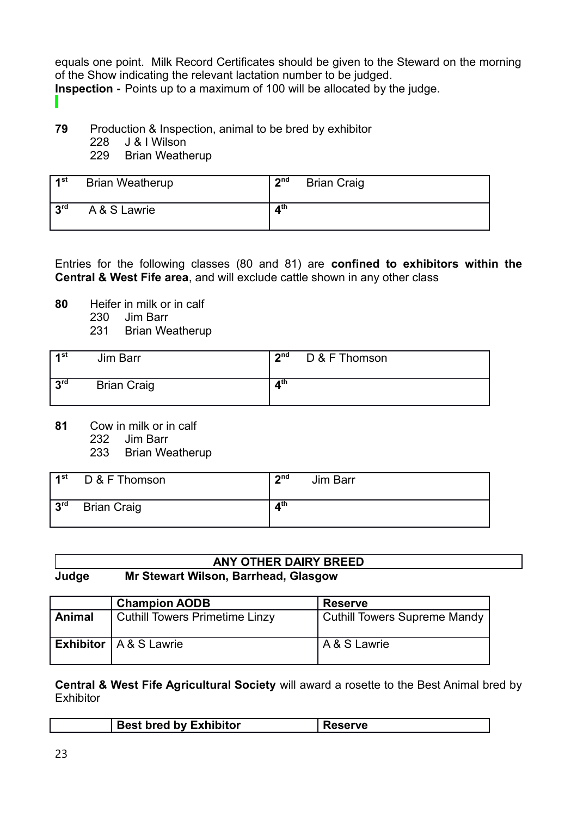equals one point. Milk Record Certificates should be given to the Steward on the morning of the Show indicating the relevant lactation number to be judged.

**Inspection -** Points up to a maximum of 100 will be allocated by the judge.

**79** Production & Inspection, animal to be bred by exhibitor

- 228 J & I Wilson
- 229 Brian Weatherup

| ⊿st,       | <b>Brian Weatherup</b> | $2n$ d          | <b>Brian Craig</b> |
|------------|------------------------|-----------------|--------------------|
| <b>2rd</b> | A & S Lawrie           | 4 <sup>th</sup> |                    |

Entries for the following classes (80 and 81) are **confined to exhibitors within the Central & West Fife area**, and will exclude cattle shown in any other class

- **80** Heifer in milk or in calf
	- 230 Jim Barr
	- 231 Brian Weatherup

| ⊿ st       | Jim Barr           | 2 <sub>nd</sub> | D & F Thomson |
|------------|--------------------|-----------------|---------------|
| <b>2rd</b> | <b>Brian Craig</b> | 4 <sup>th</sup> |               |

- **81** Cow in milk or in calf
	- 232 Jim Barr
	- 233 Brian Weatherup

| 1st             | D & F Thomson      | $2n$ d          | Jim Barr |
|-----------------|--------------------|-----------------|----------|
| 3 <sup>rd</sup> | <b>Brian Craig</b> | ⊿ <sup>th</sup> |          |

#### **ANY OTHER DAIRY BREED Judge Mr Stewart Wilson, Barrhead, Glasgow**

|        | <b>Champion AODB</b>                  | <b>Reserve</b>               |
|--------|---------------------------------------|------------------------------|
| Animal | <b>Cuthill Towers Primetime Linzy</b> | Cuthill Towers Supreme Mandy |
|        | <b>Exhibitor</b>   A & S Lawrie       | A & S Lawrie                 |

**Central & West Fife Agricultural Society** will award a rosette to the Best Animal bred by **Exhibitor** 

|  |  | <b>Best bred by Exhibitor</b> |  |
|--|--|-------------------------------|--|
|--|--|-------------------------------|--|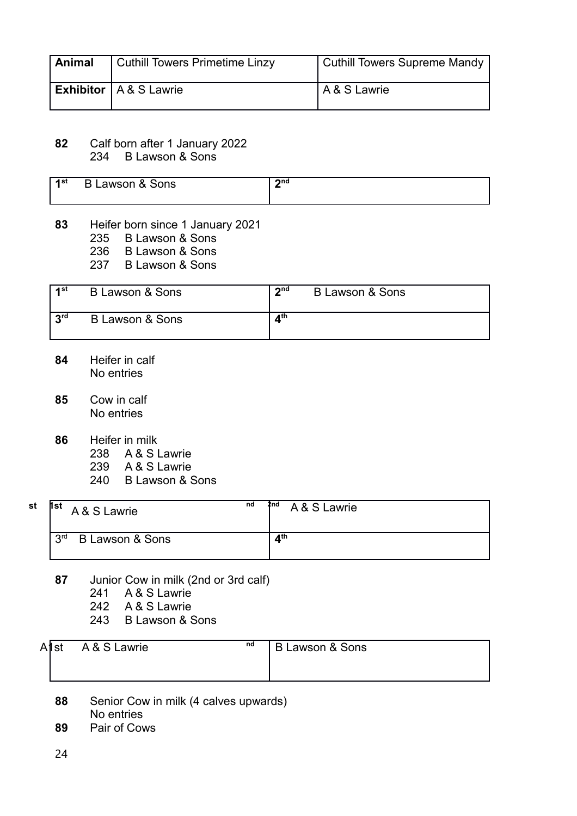| Animal | <b>Cuthill Towers Primetime Linzy</b> | <b>Cuthill Towers Supreme Mandy</b> |
|--------|---------------------------------------|-------------------------------------|
|        | <b>Exhibitor</b>   A & S Lawrie       | <sup>≀</sup> A & S Lawrie           |

**82** Calf born after 1 January 2022 B Lawson & Sons

| ⊿st, | .awson & Sons<br>D | 2n <sub>0</sub> |
|------|--------------------|-----------------|
|      |                    |                 |

- **83** Heifer born since 1 January 2021
	- 235 B Lawson & Sons
	- 236 B Lawson & Sons
	- 237 B Lawson & Sons

| ⊿rst | <b>B Lawson &amp; Sons</b> | $\boldsymbol{\gamma}$ nd | <b>B Lawson &amp; Sons</b> |
|------|----------------------------|--------------------------|----------------------------|
| 2rd  | B Lawson & Sons            | ⊿th                      |                            |

- **84** Heifer in calf No entries
- **85** Cow in calf No entries
- **86** Heifer in milk
	- 238 A & S Lawrie
	- 239 A & S Lawrie
	- 240 B Lawson & Sons

| st | list<br>A & S Lawrie               | nd | 2nd<br>A & S Lawrie |
|----|------------------------------------|----|---------------------|
|    | 3 <sup>rd</sup><br>B Lawson & Sons |    | 4 <sup>th</sup>     |

- **87** Junior Cow in milk (2nd or 3rd calf)
	- 241 A & S Lawrie<br>242 A & S Lawrie
	- A & S Lawrie
	- 243 B Lawson & Sons

| Alst | A & S Lawrie | nd | <b>B Lawson &amp; Sons</b> |  |
|------|--------------|----|----------------------------|--|
|      |              |    |                            |  |
|      |              |    |                            |  |

- **88** Senior Cow in milk (4 calves upwards)
- No entries
- **89** Pair of Cows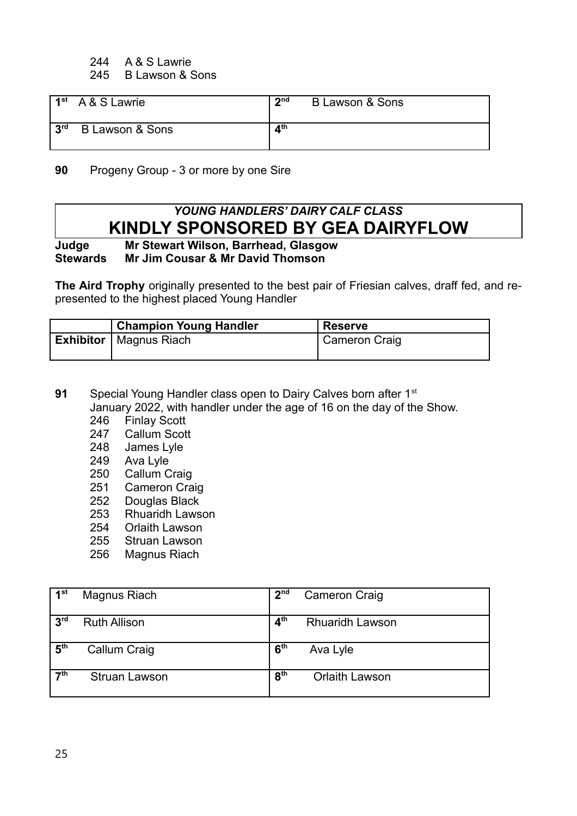#### 244 A & S Lawrie

245 B Lawson & Sons

|            | 1 <sup>st</sup> A&S Lawrie | $2n$ d                   | <b>B Lawson &amp; Sons</b> |
|------------|----------------------------|--------------------------|----------------------------|
| <b>2rd</b> | <b>B Lawson &amp; Sons</b> | $\mathbf{A}^{\text{th}}$ |                            |

**90** Progeny Group - 3 or more by one Sire

## *YOUNG HANDLERS' DAIRY CALF CLASS* **KINDLY SPONSORED BY GEA DAIRYFLOW**

### **Judge Mr Stewart Wilson, Barrhead, Glasgow Stewards Mr Jim Cousar & Mr David Thomson**

**The Aird Trophy** originally presented to the best pair of Friesian calves, draff fed, and represented to the highest placed Young Handler

| <b>Champion Young Handler</b>   | <b>Reserve</b>       |
|---------------------------------|----------------------|
| <b>Exhibitor</b>   Magnus Riach | <b>Cameron Craig</b> |

- **91** Special Young Handler class open to Dairy Calves born after 1<sup>st</sup> January 2022, with handler under the age of 16 on the day of the Show.
	- 246 Finlay Scott
	- 247 Callum Scott
	- 248 James Lyle
	- 249 Ava Lyle
	- 250 Callum Craig
	- 251 Cameron Craig
	- 252 Douglas Black
	- 253 Rhuaridh Lawson
	- 254 Orlaith Lawson
	- 255 Struan Lawson
	- 256 Magnus Riach

| 1 <sup>st</sup> | Magnus Riach        | 2 <sup>nd</sup> | <b>Cameron Craig</b>   |
|-----------------|---------------------|-----------------|------------------------|
| 3 <sup>rd</sup> | <b>Ruth Allison</b> | 4 <sup>th</sup> | <b>Rhuaridh Lawson</b> |
| 5 <sup>th</sup> | Callum Craig        | 6 <sup>th</sup> | Ava Lyle               |
| $\mathbf{z}$ th | Struan Lawson       | 8 <sup>th</sup> | <b>Orlaith Lawson</b>  |